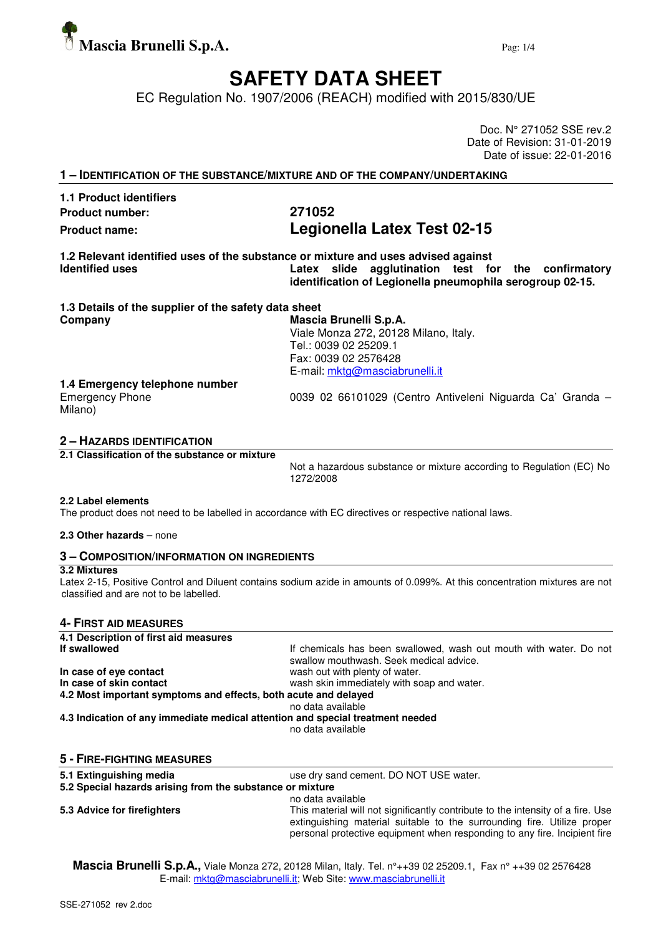

# **SAFETY DATA SHEET**

EC Regulation No. 1907/2006 (REACH) modified with 2015/830/UE

Doc. N° 271052 SSE rev.2 Date of Revision: 31-01-2019 Date of issue: 22-01-2016

| 1 - IDENTIFICATION OF THE SUBSTANCE/MIXTURE AND OF THE COMPANY/UNDERTAKING |                                                                                                                                                                                                       |  |
|----------------------------------------------------------------------------|-------------------------------------------------------------------------------------------------------------------------------------------------------------------------------------------------------|--|
| <b>1.1 Product identifiers</b>                                             |                                                                                                                                                                                                       |  |
| <b>Product number:</b>                                                     | 271052                                                                                                                                                                                                |  |
| <b>Product name:</b>                                                       | Legionella Latex Test 02-15                                                                                                                                                                           |  |
| <b>Identified uses</b>                                                     | 1.2 Relevant identified uses of the substance or mixture and uses advised against<br>Latex slide agglutination test for the confirmatory<br>identification of Legionella pneumophila serogroup 02-15. |  |
| 1.3 Details of the supplier of the safety data sheet                       |                                                                                                                                                                                                       |  |
| Company                                                                    | Mascia Brunelli S.p.A.<br>Viale Monza 272, 20128 Milano, Italy.<br>Tel.: 0039 02 25209.1<br>Fax: 0039 02 2576428<br>E-mail: mktg@masciabrunelli.it                                                    |  |
| 1.4 Emergency telephone number<br><b>Emergency Phone</b><br>Milano)        | 0039 02 66101029 (Centro Antiveleni Niguarda Ca' Granda -                                                                                                                                             |  |

## **2 – HAZARDS IDENTIFICATION**

**2.1 Classification of the substance or mixture** 

Not a hazardous substance or mixture according to Regulation (EC) No 1272/2008

#### **2.2 Label elements**

The product does not need to be labelled in accordance with EC directives or respective national laws.

#### **2.3 Other hazards** – none

## **3 – COMPOSITION/INFORMATION ON INGREDIENTS**

#### **3.2 Mixtures**

Latex 2-15, Positive Control and Diluent contains sodium azide in amounts of 0.099%. At this concentration mixtures are not classified and are not to be labelled.

#### **4- FIRST AID MEASURES**

| 4.1 Description of first aid measures                                          |                                                                                                               |  |  |
|--------------------------------------------------------------------------------|---------------------------------------------------------------------------------------------------------------|--|--|
| If swallowed                                                                   | If chemicals has been swallowed, wash out mouth with water. Do not<br>swallow mouthwash. Seek medical advice. |  |  |
| In case of eye contact                                                         | wash out with plenty of water.                                                                                |  |  |
| In case of skin contact                                                        | wash skin immediately with soap and water.                                                                    |  |  |
| 4.2 Most important symptoms and effects, both acute and delayed                |                                                                                                               |  |  |
|                                                                                | no data available                                                                                             |  |  |
| 4.3 Indication of any immediate medical attention and special treatment needed | no data available                                                                                             |  |  |
| <b>5 - FIRE-FIGHTING MEASURES</b>                                              |                                                                                                               |  |  |
| 5.1 Extinguishing media                                                        | use dry sand cement. DO NOT USE water.                                                                        |  |  |
| 5.2 Special hazards arising from the substance or mixture                      |                                                                                                               |  |  |
|                                                                                | no data available                                                                                             |  |  |

**5.3 Advice for firefighters** This material will not significantly contribute to the intensity of a fire. Use extinguishing material suitable to the surrounding fire. Utilize proper personal protective equipment when responding to any fire. Incipient fire

**Mascia Brunelli S.p.A.,** Viale Monza 272, 20128 Milan, Italy. Tel. n°++39 02 25209.1, Fax n° ++39 02 2576428 E-mail: mktg@masciabrunelli.it; Web Site: www.masciabrunelli.it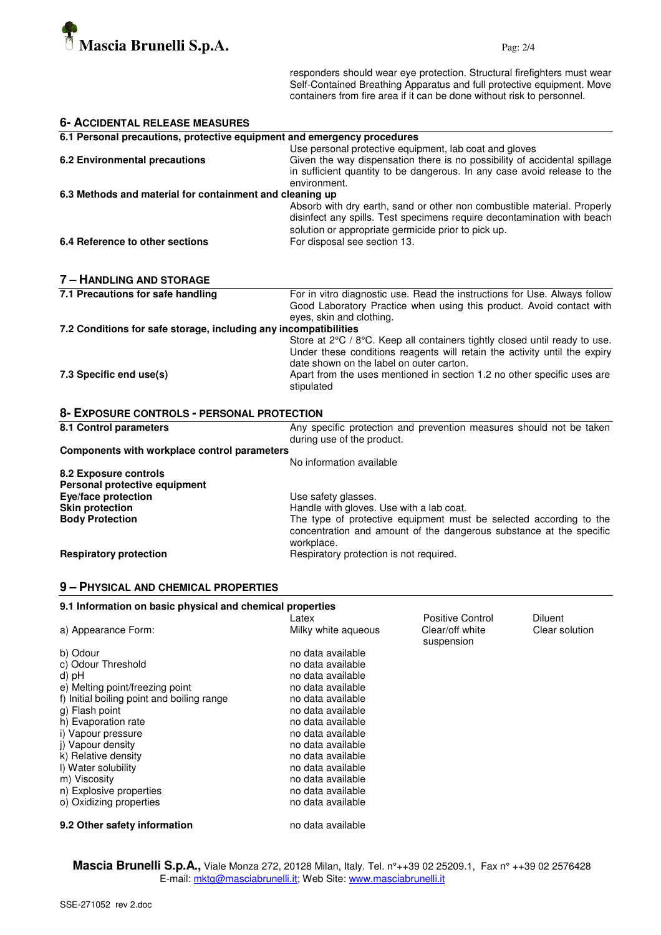

responders should wear eye protection. Structural firefighters must wear Self-Contained Breathing Apparatus and full protective equipment. Move containers from fire area if it can be done without risk to personnel.

| <b>6- ACCIDENTAL RELEASE MEASURES</b>                                   |                                                                                                                                                                                                                                                                                              |  |  |
|-------------------------------------------------------------------------|----------------------------------------------------------------------------------------------------------------------------------------------------------------------------------------------------------------------------------------------------------------------------------------------|--|--|
| 6.1 Personal precautions, protective equipment and emergency procedures |                                                                                                                                                                                                                                                                                              |  |  |
| 6.2 Environmental precautions                                           | Use personal protective equipment, lab coat and gloves<br>Given the way dispensation there is no possibility of accidental spillage<br>in sufficient quantity to be dangerous. In any case avoid release to the                                                                              |  |  |
| 6.3 Methods and material for containment and cleaning up                | environment.                                                                                                                                                                                                                                                                                 |  |  |
|                                                                         | Absorb with dry earth, sand or other non combustible material. Properly<br>disinfect any spills. Test specimens require decontamination with beach<br>solution or appropriate germicide prior to pick up.                                                                                    |  |  |
| 6.4 Reference to other sections                                         | For disposal see section 13.                                                                                                                                                                                                                                                                 |  |  |
| <b>7 - HANDLING AND STORAGE</b>                                         |                                                                                                                                                                                                                                                                                              |  |  |
| 7.1 Precautions for safe handling                                       | For in vitro diagnostic use. Read the instructions for Use. Always follow<br>Good Laboratory Practice when using this product. Avoid contact with<br>eyes, skin and clothing.                                                                                                                |  |  |
| 7.2 Conditions for safe storage, including any incompatibilities        |                                                                                                                                                                                                                                                                                              |  |  |
| 7.3 Specific end use(s)                                                 | Store at 2°C / 8°C. Keep all containers tightly closed until ready to use.<br>Under these conditions reagents will retain the activity until the expiry<br>date shown on the label on outer carton.<br>Apart from the uses mentioned in section 1.2 no other specific uses are<br>stipulated |  |  |
| 8- EXPOSURE CONTROLS - PERSONAL PROTECTION                              |                                                                                                                                                                                                                                                                                              |  |  |
| 8.1 Control parameters                                                  | Any specific protection and prevention measures should not be taken<br>during use of the product.                                                                                                                                                                                            |  |  |
| Components with workplace control parameters                            |                                                                                                                                                                                                                                                                                              |  |  |
|                                                                         | No information available                                                                                                                                                                                                                                                                     |  |  |
| 8.2 Exposure controls                                                   |                                                                                                                                                                                                                                                                                              |  |  |
| Personal protective equipment                                           |                                                                                                                                                                                                                                                                                              |  |  |
| Eye/face protection<br><b>Skin protection</b>                           | Use safety glasses.<br>Handle with gloves. Use with a lab coat.                                                                                                                                                                                                                              |  |  |
| <b>Body Protection</b>                                                  | The type of protective equipment must be selected according to the                                                                                                                                                                                                                           |  |  |
|                                                                         | concentration and amount of the dangerous substance at the specific<br>workplace.                                                                                                                                                                                                            |  |  |
| <b>Respiratory protection</b>                                           | Respiratory protection is not required.                                                                                                                                                                                                                                                      |  |  |

## **9 – PHYSICAL AND CHEMICAL PROPERTIES**

| 9.1 Information on basic physical and chemical properties |                     |                  |                |  |
|-----------------------------------------------------------|---------------------|------------------|----------------|--|
|                                                           | Latex               | Positive Control | <b>Diluent</b> |  |
| a) Appearance Form:                                       | Milky white aqueous | Clear/off white  | Clear solution |  |
|                                                           |                     | suspension       |                |  |
| b) Odour                                                  | no data available   |                  |                |  |
| c) Odour Threshold                                        | no data available   |                  |                |  |
| d) pH                                                     | no data available   |                  |                |  |
| e) Melting point/freezing point                           | no data available   |                  |                |  |
| f) Initial boiling point and boiling range                | no data available   |                  |                |  |
| g) Flash point                                            | no data available   |                  |                |  |
| h) Evaporation rate                                       | no data available   |                  |                |  |
| i) Vapour pressure                                        | no data available   |                  |                |  |
| j) Vapour density                                         | no data available   |                  |                |  |
| k) Relative density                                       | no data available   |                  |                |  |
| I) Water solubility                                       | no data available   |                  |                |  |
| m) Viscosity                                              | no data available   |                  |                |  |
| n) Explosive properties                                   | no data available   |                  |                |  |
| o) Oxidizing properties                                   | no data available   |                  |                |  |
| 9.2 Other safety information                              | no data available   |                  |                |  |

**Mascia Brunelli S.p.A.,** Viale Monza 272, 20128 Milan, Italy. Tel. n°++39 02 25209.1, Fax n° ++39 02 2576428 E-mail: mktg@masciabrunelli.it; Web Site: www.masciabrunelli.it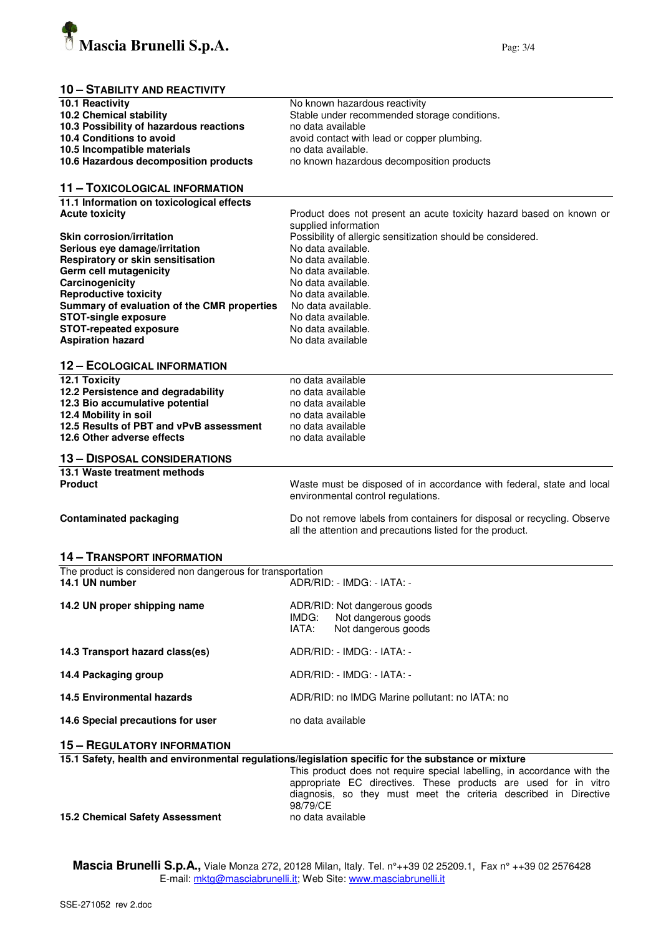

## **10 – STABILITY AND REACTIVITY**

| 10.1 Reactivity                                                    | No known hazardous reactivity                                                                       |  |  |
|--------------------------------------------------------------------|-----------------------------------------------------------------------------------------------------|--|--|
| 10.2 Chemical stability                                            | Stable under recommended storage conditions.                                                        |  |  |
| 10.3 Possibility of hazardous reactions                            | no data available                                                                                   |  |  |
| 10.4 Conditions to avoid                                           | avoid contact with lead or copper plumbing.                                                         |  |  |
| 10.5 Incompatible materials                                        | no data available.                                                                                  |  |  |
| 10.6 Hazardous decomposition products                              | no known hazardous decomposition products                                                           |  |  |
|                                                                    |                                                                                                     |  |  |
| 11 - TOXICOLOGICAL INFORMATION                                     |                                                                                                     |  |  |
|                                                                    |                                                                                                     |  |  |
| 11.1 Information on toxicological effects<br><b>Acute toxicity</b> |                                                                                                     |  |  |
|                                                                    | Product does not present an acute toxicity hazard based on known or                                 |  |  |
|                                                                    | supplied information                                                                                |  |  |
| <b>Skin corrosion/irritation</b>                                   | Possibility of allergic sensitization should be considered.                                         |  |  |
| Serious eye damage/irritation                                      | No data available.                                                                                  |  |  |
| Respiratory or skin sensitisation                                  | No data available.                                                                                  |  |  |
| Germ cell mutagenicity                                             | No data available.                                                                                  |  |  |
| Carcinogenicity                                                    | No data available.                                                                                  |  |  |
| <b>Reproductive toxicity</b>                                       | No data available.                                                                                  |  |  |
| Summary of evaluation of the CMR properties                        | No data available.                                                                                  |  |  |
| <b>STOT-single exposure</b>                                        | No data available.                                                                                  |  |  |
| <b>STOT-repeated exposure</b>                                      | No data available.                                                                                  |  |  |
| <b>Aspiration hazard</b>                                           | No data available                                                                                   |  |  |
|                                                                    |                                                                                                     |  |  |
| <b>12 - ECOLOGICAL INFORMATION</b>                                 |                                                                                                     |  |  |
| 12.1 Toxicity                                                      | no data available                                                                                   |  |  |
| 12.2 Persistence and degradability                                 | no data available                                                                                   |  |  |
|                                                                    | no data available                                                                                   |  |  |
| 12.3 Bio accumulative potential                                    |                                                                                                     |  |  |
| 12.4 Mobility in soil                                              | no data available                                                                                   |  |  |
| 12.5 Results of PBT and vPvB assessment                            | no data available                                                                                   |  |  |
| 12.6 Other adverse effects                                         | no data available                                                                                   |  |  |
| <b>13 - DISPOSAL CONSIDERATIONS</b>                                |                                                                                                     |  |  |
| 13.1 Waste treatment methods                                       |                                                                                                     |  |  |
| <b>Product</b>                                                     | Waste must be disposed of in accordance with federal, state and local                               |  |  |
|                                                                    | environmental control regulations.                                                                  |  |  |
|                                                                    |                                                                                                     |  |  |
| <b>Contaminated packaging</b>                                      | Do not remove labels from containers for disposal or recycling. Observe                             |  |  |
|                                                                    | all the attention and precautions listed for the product.                                           |  |  |
|                                                                    |                                                                                                     |  |  |
| <b>14 - TRANSPORT INFORMATION</b>                                  |                                                                                                     |  |  |
| The product is considered non dangerous for transportation         |                                                                                                     |  |  |
| 14.1 UN number                                                     | ADR/RID: - IMDG: - IATA: -                                                                          |  |  |
|                                                                    |                                                                                                     |  |  |
| 14.2 UN proper shipping name                                       | ADR/RID: Not dangerous goods                                                                        |  |  |
|                                                                    | Not dangerous goods<br>IMDG:                                                                        |  |  |
|                                                                    | IATA:<br>Not dangerous goods                                                                        |  |  |
|                                                                    |                                                                                                     |  |  |
| 14.3 Transport hazard class(es)                                    | ADR/RID: - IMDG: - IATA: -                                                                          |  |  |
|                                                                    |                                                                                                     |  |  |
| 14.4 Packaging group                                               | ADR/RID: - IMDG: - IATA: -                                                                          |  |  |
|                                                                    |                                                                                                     |  |  |
| 14.5 Environmental hazards                                         | ADR/RID: no IMDG Marine pollutant: no IATA: no                                                      |  |  |
|                                                                    |                                                                                                     |  |  |
| 14.6 Special precautions for user                                  | no data available                                                                                   |  |  |
|                                                                    |                                                                                                     |  |  |
| <b>15 - REGULATORY INFORMATION</b>                                 |                                                                                                     |  |  |
|                                                                    | 15.1 Safety, health and environmental regulations/legislation specific for the substance or mixture |  |  |
|                                                                    | This product does not require special labelling, in accordance with the                             |  |  |
|                                                                    | appropriate EC directives. These products are used for in vitro                                     |  |  |
|                                                                    | diagnosis, so they must meet the criteria described in Directive                                    |  |  |
|                                                                    | 98/79/CE                                                                                            |  |  |
|                                                                    | no data available                                                                                   |  |  |
| <b>15.2 Chemical Safety Assessment</b>                             |                                                                                                     |  |  |

**15.2 Chemical Safety Assessment** 

**Mascia Brunelli S.p.A.,** Viale Monza 272, 20128 Milan, Italy. Tel. n°++39 02 25209.1, Fax n° ++39 02 2576428 E-mail: <u>mktg@masciabrunelli.it</u>; Web Site: www.masciabrunelli.it